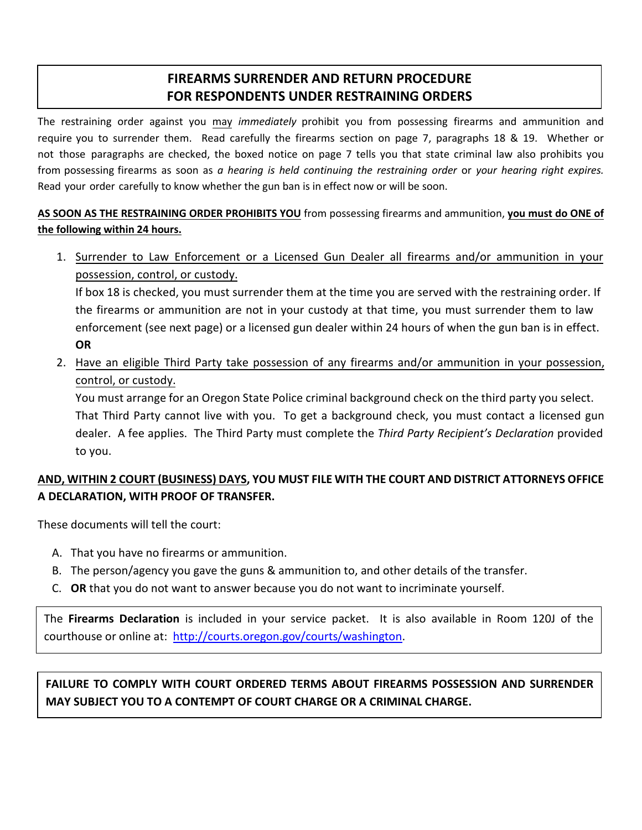# **FIREARMS SURRENDER AND RETURN PROCEDURE FOR RESPONDENTS UNDER RESTRAINING ORDERS**

The restraining order against you may *immediately* prohibit you from possessing firearms and ammunition and require you to surrender them. Read carefully the firearms section on page 7, paragraphs 18 & 19. Whether or not those paragraphs are checked, the boxed notice on page 7 tells you that state criminal law also prohibits you from possessing firearms as soon as *a hearing is held continuing the restraining order* or *your hearing right expires.*  Read your order carefully to know whether the gun ban is in effect now or will be soon.

### **AS SOON AS THE RESTRAINING ORDER PROHIBITS YOU** from possessing firearms and ammunition, **you must do ONE of the following within 24 hours.**

1. Surrender to Law Enforcement or a Licensed Gun Dealer all firearms and/or ammunition in your possession, control, or custody.

If box 18 is checked, you must surrender them at the time you are served with the restraining order. If the firearms or ammunition are not in your custody at that time, you must surrender them to law enforcement (see next page) or a licensed gun dealer within 24 hours of when the gun ban is in effect. **OR**

2. Have an eligible Third Party take possession of any firearms and/or ammunition in your possession, control, or custody.

You must arrange for an Oregon State Police criminal background check on the third party you select. That Third Party cannot live with you. To get a background check, you must contact a licensed gun dealer. A fee applies. The Third Party must complete the *Third Party Recipient's Declaration* provided to you.

### **AND, WITHIN 2 COURT (BUSINESS) DAYS, YOU MUST FILE WITH THE COURT AND DISTRICT ATTORNEYS OFFICE A DECLARATION, WITH PROOF OF TRANSFER.**

These documents will tell the court:

- A. That you have no firearms or ammunition.
- B. The person/agency you gave the guns & ammunition to, and other details of the transfer.
- C. **OR** that you do not want to answer because you do not want to incriminate yourself.

The **Firearms Declaration** is included in your service packet. It is also available in Room 120J of the courthouse or online at: [http://courts.oregon.gov/courts/washington.](http://courts.oregon.gov/courts/washington)

# **FAILURE TO COMPLY WITH COURT ORDERED TERMS ABOUT FIREARMS POSSESSION AND SURRENDER MAY SUBJECT YOU TO A CONTEMPT OF COURT CHARGE OR A CRIMINAL CHARGE.**